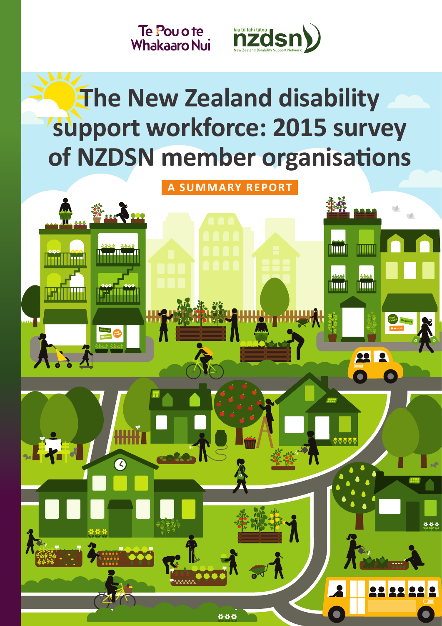Te Pou o te **Whakaaro Nui** 



# **The New Zealand disability support workforce: 2015 survey of NZDSN member organisations**

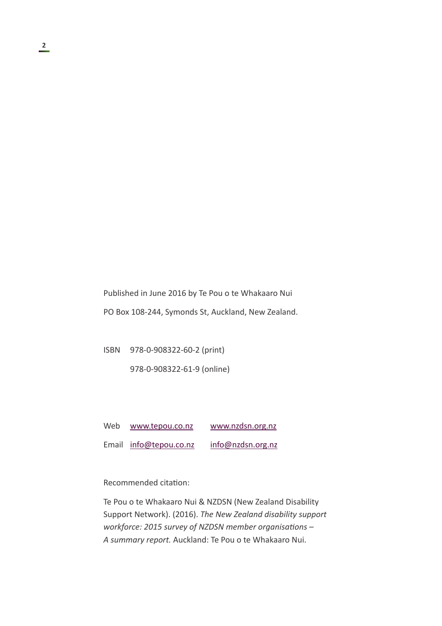Published in June 2016 by Te Pou o te Whakaaro Nui

PO Box 108-244, Symonds St, Auckland, New Zealand.

ISBN 978-0-908322-60-2 (print)

978-0-908322-61-9 (online)

Web [www.tepou.co.nz](http://www.tepou.co.nz) [www.nzdsn.org.nz](http://www.nzdsn.org.nz) Email [info@tepou.co.nz](mailto:info@tepou.co.nz) [info@nzdsn.org.nz](mailto:info@nzdsn.org.nz)

Recommended citation:

Te Pou o te Whakaaro Nui & NZDSN (New Zealand Disability Support Network). (2016). *The New Zealand disability support workforce: 2015 survey of NZDSN member organisations – A summary report.* Auckland: Te Pou o te Whakaaro Nui.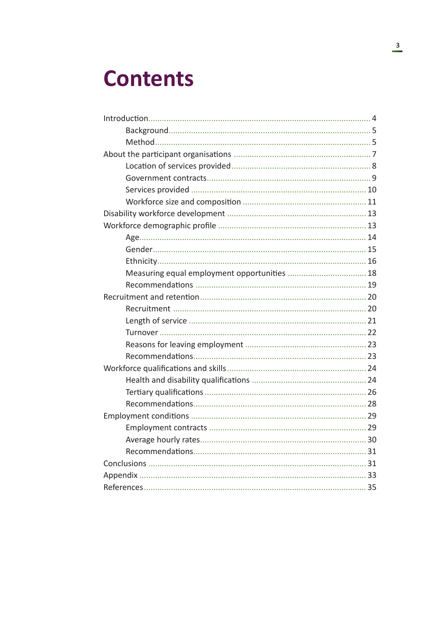## **Contents**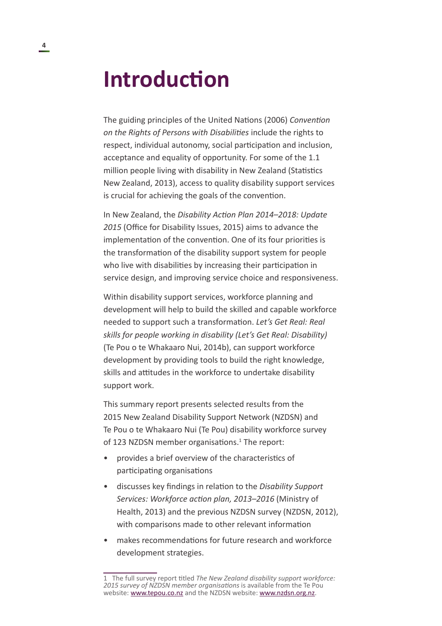## <span id="page-3-0"></span>**Introduction**

The guiding principles of the United Nations (2006) *Convention on the Rights of Persons with Disabilities* include the rights to respect, individual autonomy, social participation and inclusion, acceptance and equality of opportunity. For some of the 1.1 million people living with disability in New Zealand (Statistics New Zealand, 2013), access to quality disability support services is crucial for achieving the goals of the convention.

In New Zealand, the *Disability Action Plan 2014–2018: Update 2015* (Office for Disability Issues, 2015) aims to advance the implementation of the convention. One of its four priorities is the transformation of the disability support system for people who live with disabilities by increasing their participation in service design, and improving service choice and responsiveness.

Within disability support services, workforce planning and development will help to build the skilled and capable workforce needed to support such a transformation. *Let's Get Real: Real skills for people working in disability (Let's Get Real: Disability)*  (Te Pou o te Whakaaro Nui, 2014b), can support workforce development by providing tools to build the right knowledge, skills and attitudes in the workforce to undertake disability support work.

This summary report presents selected results from the 2015 New Zealand Disability Support Network (NZDSN) and Te Pou o te Whakaaro Nui (Te Pou) disability workforce survey of 123 NZDSN member organisations.<sup>1</sup> The report:

- provides a brief overview of the characteristics of participating organisations
- discusses key findings in relation to the *Disability Support Services: Workforce action plan, 2013–2016* (Ministry of Health, 2013) and the previous NZDSN survey (NZDSN, 2012), with comparisons made to other relevant information
- makes recommendations for future research and workforce development strategies.

<sup>1</sup> The full survey report titled *The New Zealand disability support workforce: 2015 survey of NZDSN member organisations* is available from the Te Pou website: [www.tepou.co.nz](http://www.tepou.co.nz) and the NZDSN website: [www.nzdsn.org.nz](http://www.nzdsn.org.nz).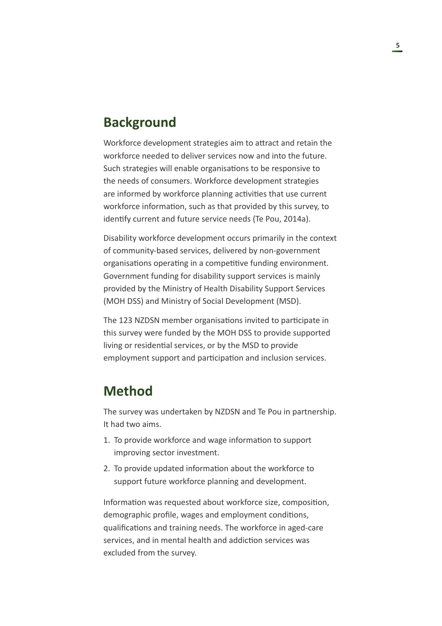#### <span id="page-4-0"></span>**Background**

Workforce development strategies aim to attract and retain the workforce needed to deliver services now and into the future. Such strategies will enable organisations to be responsive to the needs of consumers. Workforce development strategies are informed by workforce planning activities that use current workforce information, such as that provided by this survey, to identify current and future service needs (Te Pou, 2014a).

Disability workforce development occurs primarily in the context of community-based services, delivered by non-government organisations operating in a competitive funding environment. Government funding for disability support services is mainly provided by the Ministry of Health Disability Support Services (MOH DSS) and Ministry of Social Development (MSD).

The 123 NZDSN member organisations invited to participate in this survey were funded by the MOH DSS to provide supported living or residential services, or by the MSD to provide employment support and participation and inclusion services.

### **Method**

The survey was undertaken by NZDSN and Te Pou in partnership. It had two aims.

- 1. To provide workforce and wage information to support improving sector investment.
- 2. To provide updated information about the workforce to support future workforce planning and development.

Information was requested about workforce size, composition, demographic profile, wages and employment conditions, qualifications and training needs. The workforce in aged-care services, and in mental health and addiction services was excluded from the survey.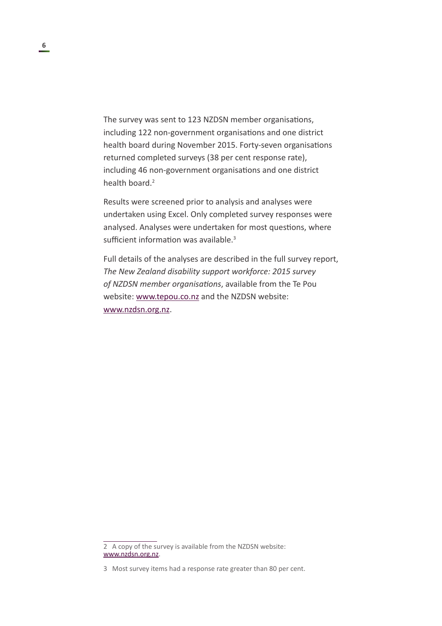<span id="page-5-0"></span>The survey was sent to 123 NZDSN member organisations, including 122 non-government organisations and one district health board during November 2015. Forty-seven organisations returned completed surveys (38 per cent response rate), including 46 non-government organisations and one district health board.<sup>2</sup>

Results were screened prior to analysis and analyses were undertaken using Excel. Only completed survey responses were analysed. Analyses were undertaken for most questions, where sufficient information was available.<sup>3</sup>

Full details of the analyses are described in the full survey report, *The New Zealand disability support workforce: 2015 survey of NZDSN member organisations*, available from the Te Pou website: [www.tepou.co.nz](http://www.tepou.co.nz) and the NZDSN website: [www.nzdsn.org.nz.](http://www.nzdsn.org.nz)

<sup>2</sup> A copy of the survey is available from the NZDSN website: [www.nzdsn.org.nz.](http://www.nzdsn.org.nz)

<sup>3</sup> Most survey items had a response rate greater than 80 per cent.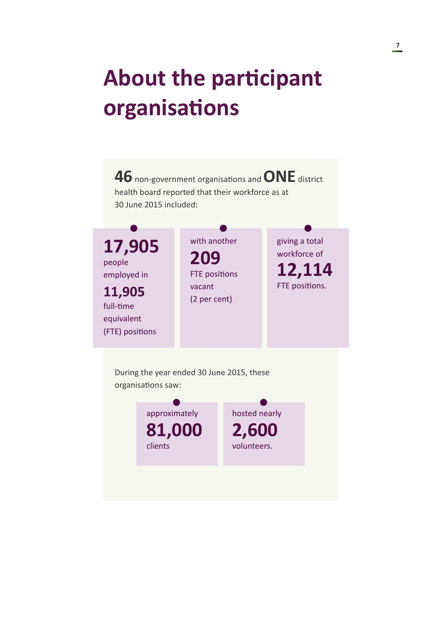# <span id="page-6-0"></span>**About the participant organisations**

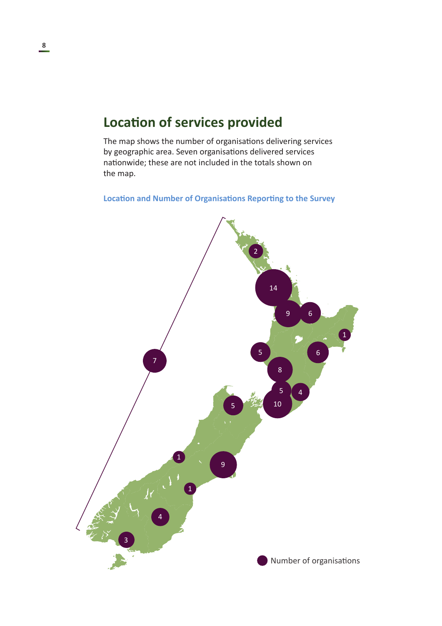## **Location of services provided**

The map shows the number of organisations delivering services by geographic area. Seven organisations delivered services nationwide; these are not included in the totals shown on the map.

#### **Location and Number of Organisations Reporting to the Survey**

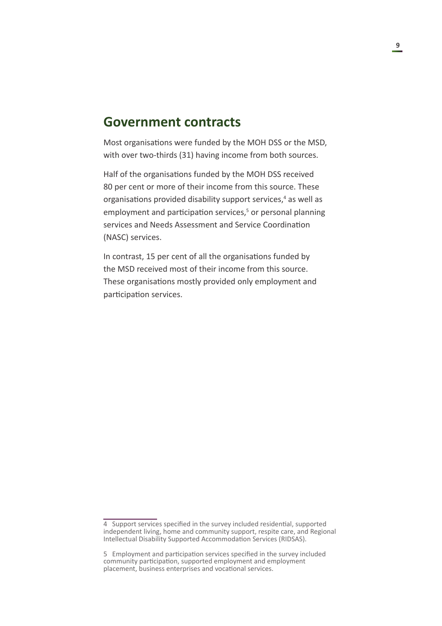#### <span id="page-8-0"></span>**Government contracts**

Most organisations were funded by the MOH DSS or the MSD, with over two-thirds (31) having income from both sources.

Half of the organisations funded by the MOH DSS received 80 per cent or more of their income from this source. These organisations provided disability support services,<sup>4</sup> as well as employment and participation services,<sup>5</sup> or personal planning services and Needs Assessment and Service Coordination (NASC) services.

In contrast, 15 per cent of all the organisations funded by the MSD received most of their income from this source. These organisations mostly provided only employment and participation services.

<sup>4</sup> Support services specified in the survey included residential, supported independent living, home and community support, respite care, and Regional Intellectual Disability Supported Accommodation Services (RIDSAS).

<sup>5</sup> Employment and participation services specified in the survey included community participation, supported employment and employment placement, business enterprises and vocational services.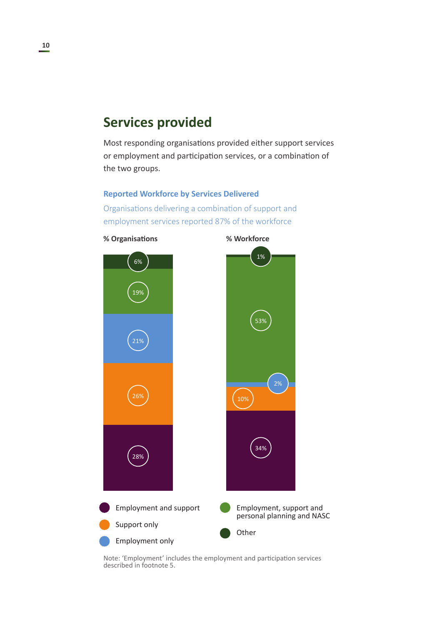## <span id="page-9-0"></span>**Services provided**

Most responding organisations provided either support services or employment and participation services, or a combination of the two groups.

#### **Reported Workforce by Services Delivered**

Organisations delivering a combination of support and employment services reported 87% of the workforce



Note: 'Employment' includes the employment and participation services described in footnote 5.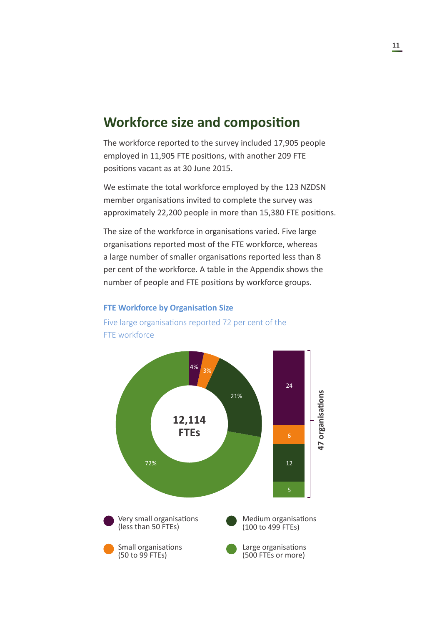#### <span id="page-10-0"></span>**Workforce size and composition**

The workforce reported to the survey included 17,905 people employed in 11,905 FTE positions, with another 209 FTE positions vacant as at 30 June 2015.

We estimate the total workforce employed by the 123 NZDSN member organisations invited to complete the survey was approximately 22,200 people in more than 15,380 FTE positions.

The size of the workforce in organisations varied. Five large organisations reported most of the FTE workforce, whereas a large number of smaller organisations reported less than 8 per cent of the workforce. A table in the Appendix shows the number of people and FTE positions by workforce groups.

#### **FTE Workforce by Organisation Size**



Five large organisations reported 72 per cent of the FTE workforce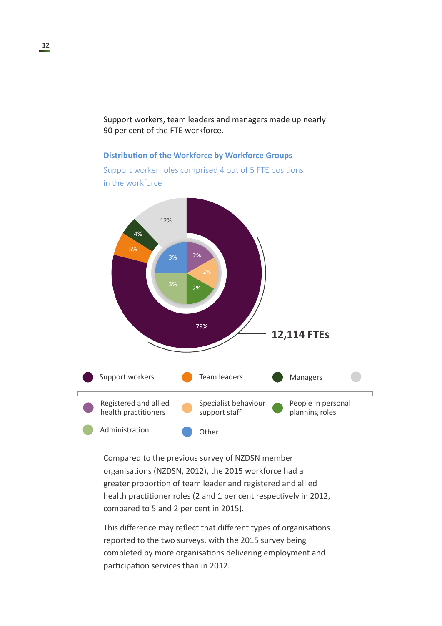Support workers, team leaders and managers made up nearly 90 per cent of the FTE workforce.

#### **Distribution of the Workforce by Workforce Groups**

Support worker roles comprised 4 out of 5 FTE positions in the workforce



Compared to the previous survey of NZDSN member organisations (NZDSN, 2012), the 2015 workforce had a greater proportion of team leader and registered and allied health practitioner roles (2 and 1 per cent respectively in 2012, compared to 5 and 2 per cent in 2015).

This difference may reflect that different types of organisations reported to the two surveys, with the 2015 survey being completed by more organisations delivering employment and participation services than in 2012.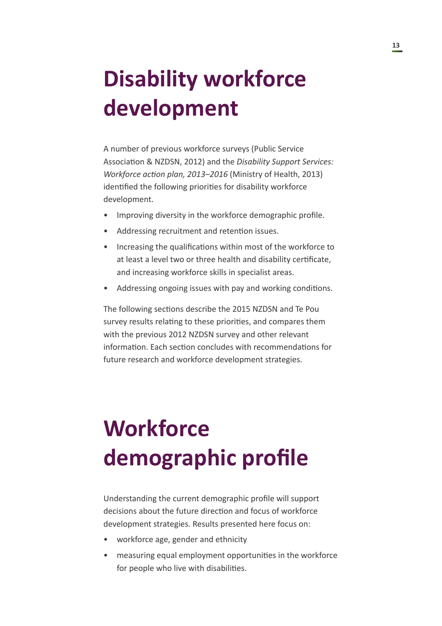# <span id="page-12-0"></span>**Disability workforce development**

A number of previous workforce surveys (Public Service Association & NZDSN, 2012) and the *Disability Support Services: Workforce action plan, 2013–2016* (Ministry of Health, 2013) identified the following priorities for disability workforce development.

- Improving diversity in the workforce demographic profile.
- Addressing recruitment and retention issues.
- Increasing the qualifications within most of the workforce to at least a level two or three health and disability certificate, and increasing workforce skills in specialist areas.
- Addressing ongoing issues with pay and working conditions.

The following sections describe the 2015 NZDSN and Te Pou survey results relating to these priorities, and compares them with the previous 2012 NZDSN survey and other relevant information. Each section concludes with recommendations for future research and workforce development strategies.

# **Workforce demographic profile**

Understanding the current demographic profile will support decisions about the future direction and focus of workforce development strategies. Results presented here focus on:

- workforce age, gender and ethnicity
- measuring equal employment opportunities in the workforce for people who live with disabilities.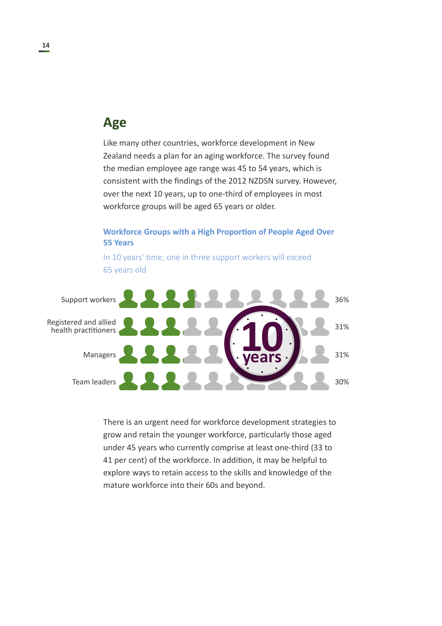#### <span id="page-13-0"></span>**Age**

Like many other countries, workforce development in New Zealand needs a plan for an aging workforce. The survey found the median employee age range was 45 to 54 years, which is consistent with the findings of the 2012 NZDSN survey. However, over the next 10 years, up to one-third of employees in most workforce groups will be aged 65 years or older.

#### **Workforce Groups with a High Proportion of People Aged Over 55 Years**

In 10 years' time, one in three support workers will exceed 65 years old



There is an urgent need for workforce development strategies to grow and retain the younger workforce, particularly those aged under 45 years who currently comprise at least one-third (33 to 41 per cent) of the workforce. In addition, it may be helpful to explore ways to retain access to the skills and knowledge of the mature workforce into their 60s and beyond.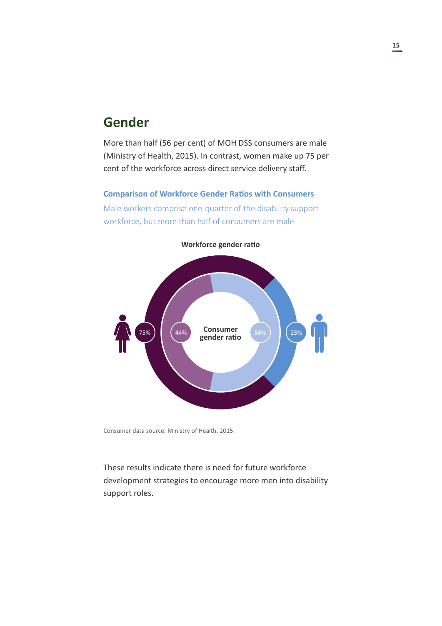### <span id="page-14-0"></span>**Gender**

More than half (56 per cent) of MOH DSS consumers are male (Ministry of Health, 2015). In contrast, women make up 75 per cent of the workforce across direct service delivery staff.

## **Comparison of Workforce Gender Ratios with Consumers**

Male workers comprise one-quarter of the disability support workforce, but more than half of consumers are male



**Workforce gender ratio**

Consumer data source: Ministry of Health, 2015.

These results indicate there is need for future workforce development strategies to encourage more men into disability support roles.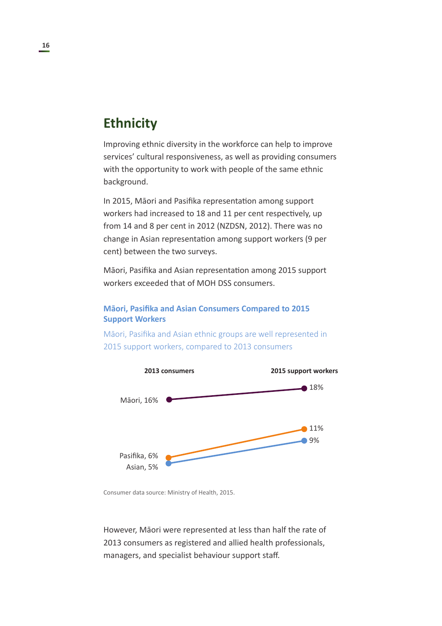### <span id="page-15-0"></span>**Ethnicity**

Improving ethnic diversity in the workforce can help to improve services' cultural responsiveness, as well as providing consumers with the opportunity to work with people of the same ethnic background.

In 2015, Māori and Pasifika representation among support workers had increased to 18 and 11 per cent respectively, up from 14 and 8 per cent in 2012 (NZDSN, 2012). There was no change in Asian representation among support workers (9 per cent) between the two surveys.

Māori, Pasifika and Asian representation among 2015 support workers exceeded that of MOH DSS consumers.

#### **Māori, Pasifika and Asian Consumers Compared to 2015 Support Workers**

Māori, Pasifika and Asian ethnic groups are well represented in 2015 support workers, compared to 2013 consumers



Consumer data source: Ministry of Health, 2015.

However, Māori were represented at less than half the rate of 2013 consumers as registered and allied health professionals, managers, and specialist behaviour support staff.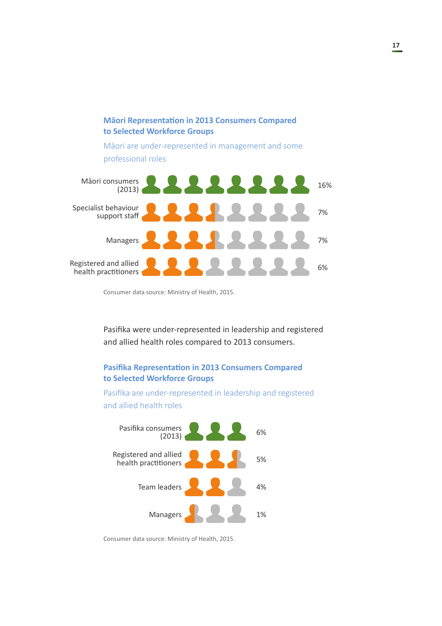

Consumer data source: Ministry of Health, 2015.

Pasifika were under-represented in leadership and registered and allied health roles compared to 2013 consumers.

#### **Pasifika Representation in 2013 Consumers Compared to Selected Workforce Groups**

Pasifika are under-represented in leadership and registered and allied health roles



Consumer data source: Ministry of Health, 2015.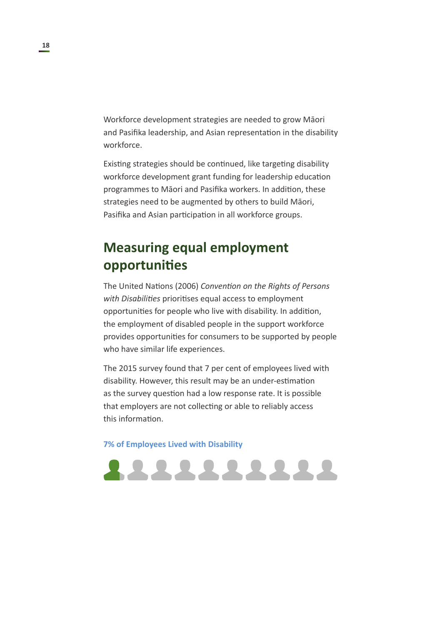<span id="page-17-0"></span>Workforce development strategies are needed to grow Māori and Pasifika leadership, and Asian representation in the disability workforce.

Existing strategies should be continued, like targeting disability workforce development grant funding for leadership education programmes to Māori and Pasifika workers. In addition, these strategies need to be augmented by others to build Māori, Pasifika and Asian participation in all workforce groups.

## **Measuring equal employment opportunities**

The United Nations (2006) *Convention on the Rights of Persons with Disabilities* prioritises equal access to employment opportunities for people who live with disability. In addition, the employment of disabled people in the support workforce provides opportunities for consumers to be supported by people who have similar life experiences.

The 2015 survey found that 7 per cent of employees lived with disability. However, this result may be an under-estimation as the survey question had a low response rate. It is possible that employers are not collecting or able to reliably access this information.

222222222

**7% of Employees Lived with Disability**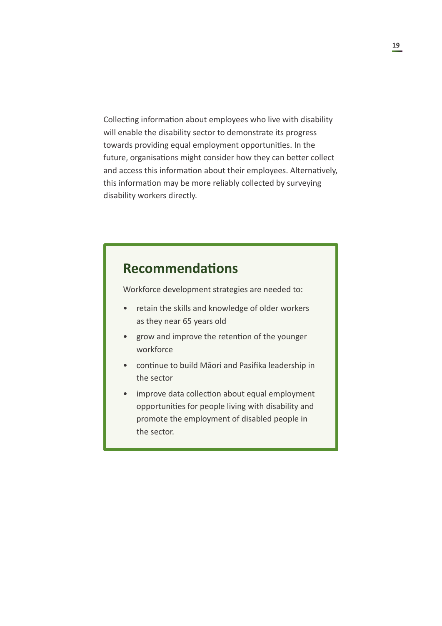<span id="page-18-0"></span>Collecting information about employees who live with disability will enable the disability sector to demonstrate its progress towards providing equal employment opportunities. In the future, organisations might consider how they can better collect and access this information about their employees. Alternatively, this information may be more reliably collected by surveying disability workers directly.

#### **Recommendations**

Workforce development strategies are needed to:

- retain the skills and knowledge of older workers as they near 65 years old
- grow and improve the retention of the younger workforce
- continue to build Māori and Pasifika leadership in the sector
- improve data collection about equal employment opportunities for people living with disability and promote the employment of disabled people in the sector.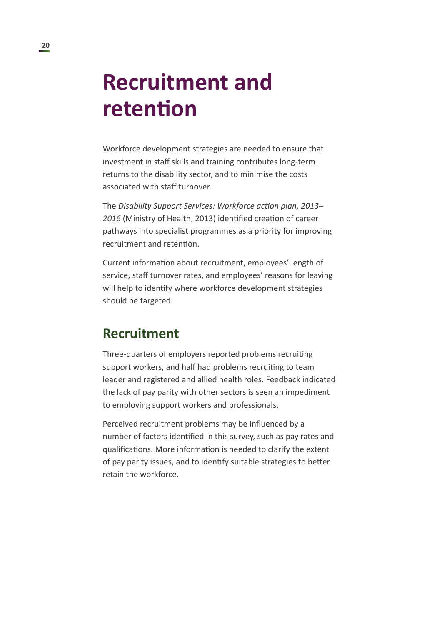## <span id="page-19-0"></span>**Recruitment and retention**

Workforce development strategies are needed to ensure that investment in staff skills and training contributes long-term returns to the disability sector, and to minimise the costs associated with staff turnover.

The *Disability Support Services: Workforce action plan, 2013– 2016* (Ministry of Health, 2013) identified creation of career pathways into specialist programmes as a priority for improving recruitment and retention.

Current information about recruitment, employees' length of service, staff turnover rates, and employees' reasons for leaving will help to identify where workforce development strategies should be targeted.

#### **Recruitment**

Three-quarters of employers reported problems recruiting support workers, and half had problems recruiting to team leader and registered and allied health roles. Feedback indicated the lack of pay parity with other sectors is seen an impediment to employing support workers and professionals.

Perceived recruitment problems may be influenced by a number of factors identified in this survey, such as pay rates and qualifications. More information is needed to clarify the extent of pay parity issues, and to identify suitable strategies to better retain the workforce.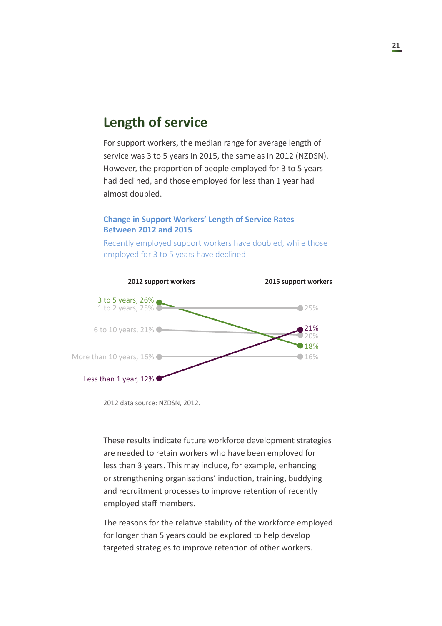## **Length of service**

For support workers, the median range for average length of service was 3 to 5 years in 2015, the same as in 2012 (NZDSN). However, the proportion of people employed for 3 to 5 years had declined, and those employed for less than 1 year had almost doubled.

#### **Change in Support Workers' Length of Service Rates Between 2012 and 2015**



Recently employed support workers have doubled, while those employed for 3 to 5 years have declined

2012 data source: NZDSN, 2012.

These results indicate future workforce development strategies are needed to retain workers who have been employed for less than 3 years. This may include, for example, enhancing or strengthening organisations' induction, training, buddying and recruitment processes to improve retention of recently employed staff members.

The reasons for the relative stability of the workforce employed for longer than 5 years could be explored to help develop targeted strategies to improve retention of other workers.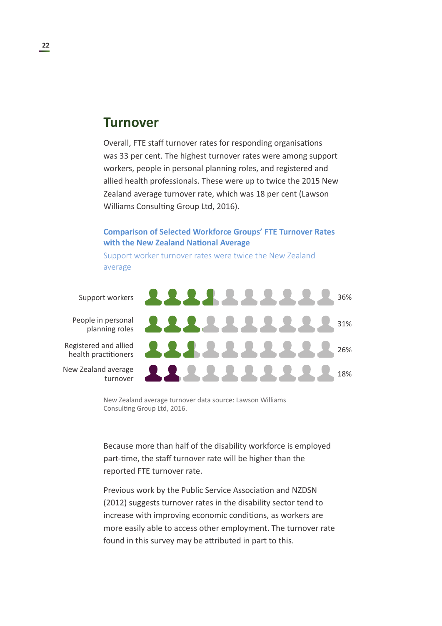#### <span id="page-21-0"></span>**Turnover**

Overall, FTE staff turnover rates for responding organisations was 33 per cent. The highest turnover rates were among support workers, people in personal planning roles, and registered and allied health professionals. These were up to twice the 2015 New Zealand average turnover rate, which was 18 per cent (Lawson Williams Consulting Group Ltd, 2016).

#### **Comparison of Selected Workforce Groups' FTE Turnover Rates with the New Zealand National Average**

Support worker turnover rates were twice the New Zealand average

People in personal

Registered and allied health practitioners

New Zealand average turnover



New Zealand average turnover data source: Lawson Williams Consulting Group Ltd, 2016.

Because more than half of the disability workforce is employed part-time, the staff turnover rate will be higher than the reported FTE turnover rate.

Previous work by the Public Service Association and NZDSN (2012) suggests turnover rates in the disability sector tend to increase with improving economic conditions, as workers are more easily able to access other employment. The turnover rate found in this survey may be attributed in part to this.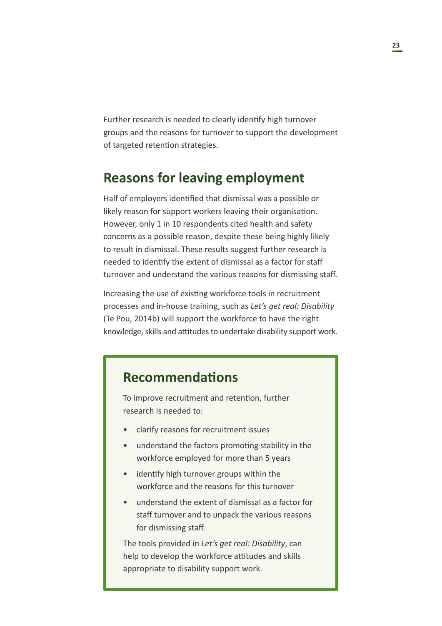<span id="page-22-0"></span>Further research is needed to clearly identify high turnover groups and the reasons for turnover to support the development of targeted retention strategies.

### **Reasons for leaving employment**

Half of employers identified that dismissal was a possible or likely reason for support workers leaving their organisation. However, only 1 in 10 respondents cited health and safety concerns as a possible reason, despite these being highly likely to result in dismissal. These results suggest further research is needed to identify the extent of dismissal as a factor for staff turnover and understand the various reasons for dismissing staff.

Increasing the use of existing workforce tools in recruitment processes and in-house training, such as *Let's get real: Disability* (Te Pou, 2014b) will support the workforce to have the right knowledge, skills and attitudes to undertake disability support work.

### **Recommendations**

To improve recruitment and retention, further research is needed to:

- clarify reasons for recruitment issues
- understand the factors promoting stability in the workforce employed for more than 5 years
- identify high turnover groups within the workforce and the reasons for this turnover
- understand the extent of dismissal as a factor for staff turnover and to unpack the various reasons for dismissing staff.

The tools provided in *Let's get real: Disability*, can help to develop the workforce attitudes and skills appropriate to disability support work.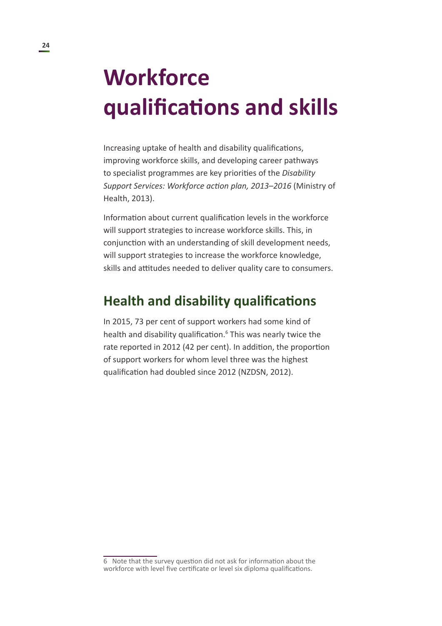## <span id="page-23-0"></span>**Workforce qualifications and skills**

Increasing uptake of health and disability qualifications, improving workforce skills, and developing career pathways to specialist programmes are key priorities of the *Disability Support Services: Workforce action plan, 2013–2016* (Ministry of Health, 2013).

Information about current qualification levels in the workforce will support strategies to increase workforce skills. This, in conjunction with an understanding of skill development needs, will support strategies to increase the workforce knowledge, skills and attitudes needed to deliver quality care to consumers.

#### **Health and disability qualifications**

In 2015, 73 per cent of support workers had some kind of health and disability qualification.<sup>6</sup> This was nearly twice the rate reported in 2012 (42 per cent). In addition, the proportion of support workers for whom level three was the highest qualification had doubled since 2012 (NZDSN, 2012).

<sup>6</sup> Note that the survey question did not ask for information about the workforce with level five certificate or level six diploma qualifications.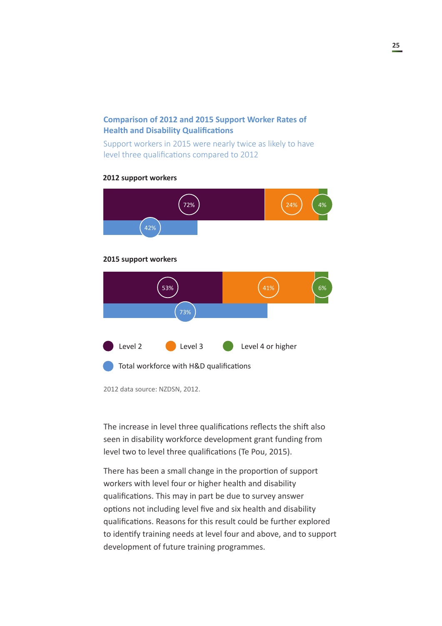#### **Comparison of 2012 and 2015 Support Worker Rates of Health and Disability Qualifications**

Support workers in 2015 were nearly twice as likely to have level three qualifications compared to 2012

#### **2012 support workers**



2012 data source: NZDSN, 2012.

The increase in level three qualifications reflects the shift also seen in disability workforce development grant funding from level two to level three qualifications (Te Pou, 2015).

There has been a small change in the proportion of support workers with level four or higher health and disability qualifications. This may in part be due to survey answer options not including level five and six health and disability qualifications. Reasons for this result could be further explored to identify training needs at level four and above, and to support development of future training programmes.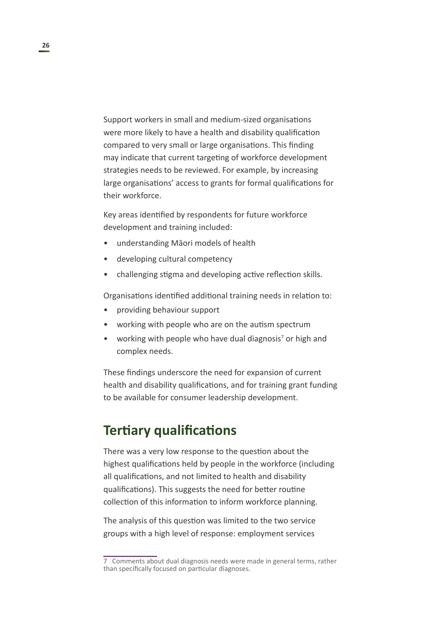<span id="page-25-0"></span>Support workers in small and medium-sized organisations were more likely to have a health and disability qualification compared to very small or large organisations. This finding may indicate that current targeting of workforce development strategies needs to be reviewed. For example, by increasing large organisations' access to grants for formal qualifications for their workforce.

Key areas identified by respondents for future workforce development and training included:

- understanding Māori models of health
- developing cultural competency
- challenging stigma and developing active reflection skills.

Organisations identified additional training needs in relation to:

- providing behaviour support
- working with people who are on the autism spectrum
- working with people who have dual diagnosis<sup>7</sup> or high and complex needs.

These findings underscore the need for expansion of current health and disability qualifications, and for training grant funding to be available for consumer leadership development.

#### **Tertiary qualifications**

There was a very low response to the question about the highest qualifications held by people in the workforce (including all qualifications, and not limited to health and disability qualifications). This suggests the need for better routine collection of this information to inform workforce planning.

The analysis of this question was limited to the two service groups with a high level of response: employment services

<sup>7</sup> Comments about dual diagnosis needs were made in general terms, rather than specifically focused on particular diagnoses.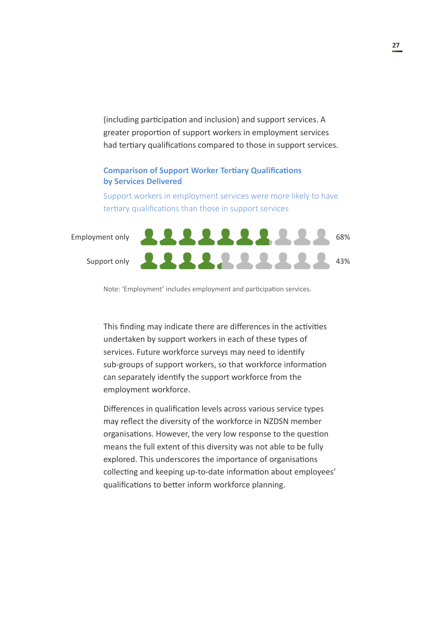(including participation and inclusion) and support services. A greater proportion of support workers in employment services had tertiary qualifications compared to those in support services.

#### **Comparison of Support Worker Tertiary Qualifications by Services Delivered**

Support workers in employment services were more likely to have tertiary qualifications than those in support services

Employment only

Support only



Note: 'Employment' includes employment and participation services.

This finding may indicate there are differences in the activities undertaken by support workers in each of these types of services. Future workforce surveys may need to identify sub-groups of support workers, so that workforce information can separately identify the support workforce from the employment workforce.

Differences in qualification levels across various service types may reflect the diversity of the workforce in NZDSN member organisations. However, the very low response to the question means the full extent of this diversity was not able to be fully explored. This underscores the importance of organisations collecting and keeping up-to-date information about employees' qualifications to better inform workforce planning.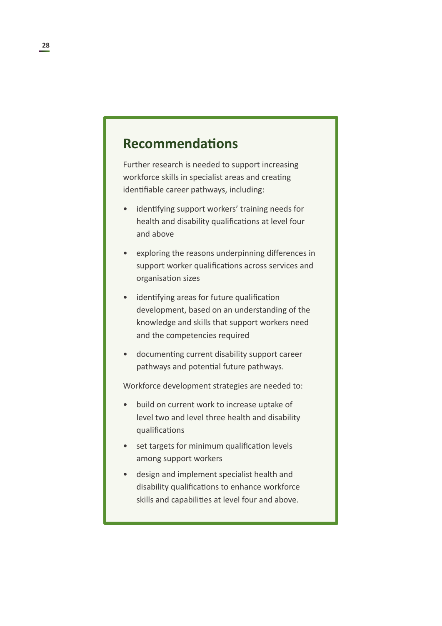## <span id="page-27-0"></span>**Recommendations**

Further research is needed to support increasing workforce skills in specialist areas and creating identifiable career pathways, including:

- identifying support workers' training needs for health and disability qualifications at level four and above
- exploring the reasons underpinning differences in support worker qualifications across services and organisation sizes
- identifying areas for future qualification development, based on an understanding of the knowledge and skills that support workers need and the competencies required
- documenting current disability support career pathways and potential future pathways.

Workforce development strategies are needed to:

- build on current work to increase uptake of level two and level three health and disability qualifications
- set targets for minimum qualification levels among support workers
- design and implement specialist health and disability qualifications to enhance workforce skills and capabilities at level four and above.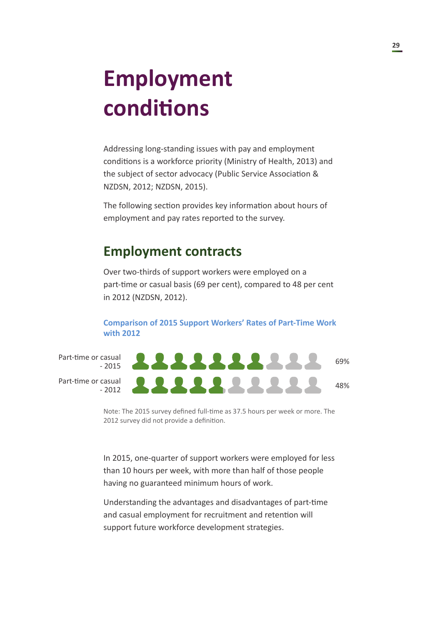# <span id="page-28-0"></span>**Employment conditions**

Addressing long-standing issues with pay and employment conditions is a workforce priority (Ministry of Health, 2013) and the subject of sector advocacy (Public Service Association & NZDSN, 2012; NZDSN, 2015).

The following section provides key information about hours of employment and pay rates reported to the survey.

### **Employment contracts**

Over two-thirds of support workers were employed on a part-time or casual basis (69 per cent), compared to 48 per cent in 2012 (NZDSN, 2012).

**Comparison of 2015 Support Workers' Rates of Part-Time Work with 2012**

Part-time or casual  $-2015$ 

Part-time or casual - 2012

2222222222 69%1111111111 48%

Note: The 2015 survey defined full-time as 37.5 hours per week or more. The 2012 survey did not provide a definition.

In 2015, one-quarter of support workers were employed for less than 10 hours per week, with more than half of those people having no guaranteed minimum hours of work.

Understanding the advantages and disadvantages of part-time and casual employment for recruitment and retention will support future workforce development strategies.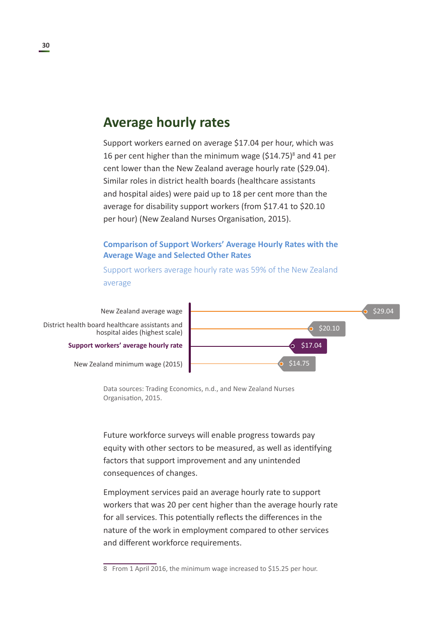#### <span id="page-29-0"></span>**Average hourly rates**

Support workers earned on average \$17.04 per hour, which was 16 per cent higher than the minimum wage (\$14.75)<sup>8</sup> and 41 per cent lower than the New Zealand average hourly rate (\$29.04). Similar roles in district health boards (healthcare assistants and hospital aides) were paid up to 18 per cent more than the average for disability support workers (from \$17.41 to \$20.10 per hour) (New Zealand Nurses Organisation, 2015).

#### **Comparison of Support Workers' Average Hourly Rates with the Average Wage and Selected Other Rates**

Support workers average hourly rate was 59% of the New Zealand average

**Support workers' average hourly rate** District health board healthcare assistants and hospital aides (highest scale) New Zealand average wage

New Zealand minimum wage (2015)



Data sources: Trading Economics, n.d., and New Zealand Nurses Organisation, 2015.

Future workforce surveys will enable progress towards pay equity with other sectors to be measured, as well as identifying factors that support improvement and any unintended consequences of changes.

Employment services paid an average hourly rate to support workers that was 20 per cent higher than the average hourly rate for all services. This potentially reflects the differences in the nature of the work in employment compared to other services and different workforce requirements.

<sup>8</sup> From 1 April 2016, the minimum wage increased to \$15.25 per hour.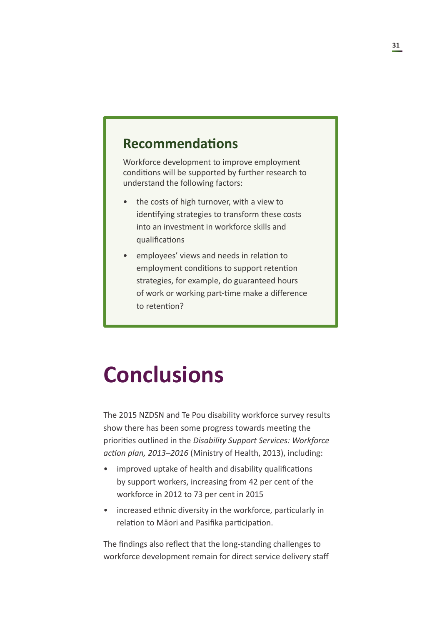## <span id="page-30-0"></span>**Recommendations**

Workforce development to improve employment conditions will be supported by further research to understand the following factors:

- the costs of high turnover, with a view to identifying strategies to transform these costs into an investment in workforce skills and qualifications
- employees' views and needs in relation to employment conditions to support retention strategies, for example, do guaranteed hours of work or working part-time make a difference to retention?

## **Conclusions**

The 2015 NZDSN and Te Pou disability workforce survey results show there has been some progress towards meeting the priorities outlined in the *Disability Support Services: Workforce action plan, 2013–2016* (Ministry of Health, 2013), including:

- improved uptake of health and disability qualifications by support workers, increasing from 42 per cent of the workforce in 2012 to 73 per cent in 2015
- increased ethnic diversity in the workforce, particularly in relation to Māori and Pasifika participation.

The findings also reflect that the long-standing challenges to workforce development remain for direct service delivery staff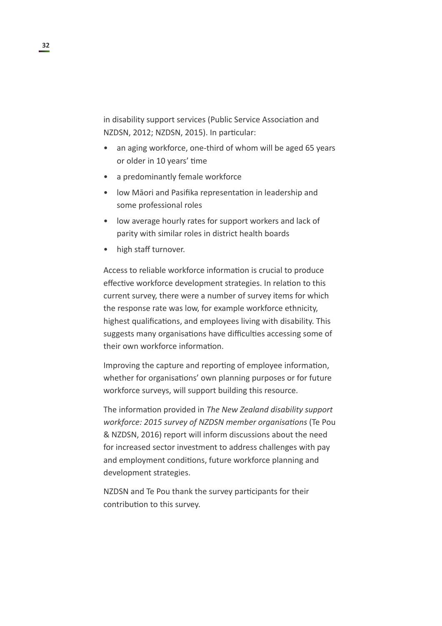in disability support services (Public Service Association and NZDSN, 2012; NZDSN, 2015). In particular:

- an aging workforce, one-third of whom will be aged 65 years or older in 10 years' time
- a predominantly female workforce
- low Māori and Pasifika representation in leadership and some professional roles
- low average hourly rates for support workers and lack of parity with similar roles in district health boards
- high staff turnover.

Access to reliable workforce information is crucial to produce effective workforce development strategies. In relation to this current survey, there were a number of survey items for which the response rate was low, for example workforce ethnicity, highest qualifications, and employees living with disability. This suggests many organisations have difficulties accessing some of their own workforce information.

Improving the capture and reporting of employee information, whether for organisations' own planning purposes or for future workforce surveys, will support building this resource.

The information provided in *The New Zealand disability support workforce: 2015 survey of NZDSN member organisations* (Te Pou & NZDSN, 2016) report will inform discussions about the need for increased sector investment to address challenges with pay and employment conditions, future workforce planning and development strategies.

NZDSN and Te Pou thank the survey participants for their contribution to this survey.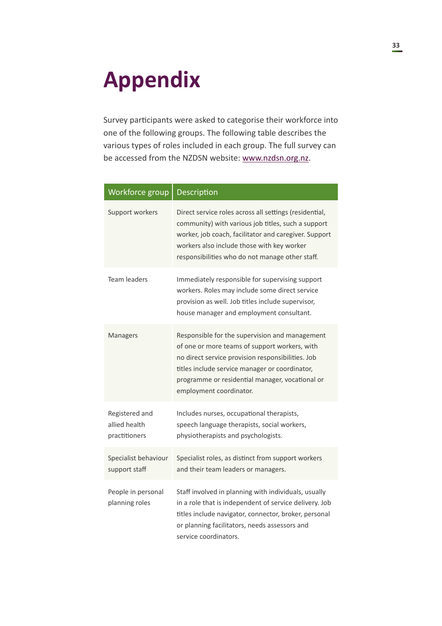## <span id="page-32-0"></span>**Appendix**

Survey participants were asked to categorise their workforce into one of the following groups. The following table describes the various types of roles included in each group. The full survey can be accessed from the NZDSN website: [www.nzdsn.org.nz.](file:///C:\Users\Sarah\Documents\Google%20Drive\Business\Wise%20Management%20Trust\2016%20proofing\New%20Zealand%20Disability%20Support%20Network%20%20report\www.nzdsn.org.nz)

| Workforce group                                  | Description                                                                                                                                                                                                                                                                          |
|--------------------------------------------------|--------------------------------------------------------------------------------------------------------------------------------------------------------------------------------------------------------------------------------------------------------------------------------------|
| Support workers                                  | Direct service roles across all settings (residential,<br>community) with various job titles, such a support<br>worker, job coach, facilitator and caregiver. Support<br>workers also include those with key worker<br>responsibilities who do not manage other staff.               |
| Team leaders                                     | Immediately responsible for supervising support<br>workers. Roles may include some direct service<br>provision as well. Job titles include supervisor,<br>house manager and employment consultant.                                                                                   |
| Managers                                         | Responsible for the supervision and management<br>of one or more teams of support workers, with<br>no direct service provision responsibilities. Job<br>titles include service manager or coordinator,<br>programme or residential manager, vocational or<br>employment coordinator. |
| Registered and<br>allied health<br>practitioners | Includes nurses, occupational therapists,<br>speech language therapists, social workers,<br>physiotherapists and psychologists.                                                                                                                                                      |
| Specialist behaviour<br>support staff            | Specialist roles, as distinct from support workers<br>and their team leaders or managers.                                                                                                                                                                                            |
| People in personal<br>planning roles             | Staff involved in planning with individuals, usually<br>in a role that is independent of service delivery. Job<br>titles include navigator, connector, broker, personal<br>or planning facilitators, needs assessors and<br>service coordinators.                                    |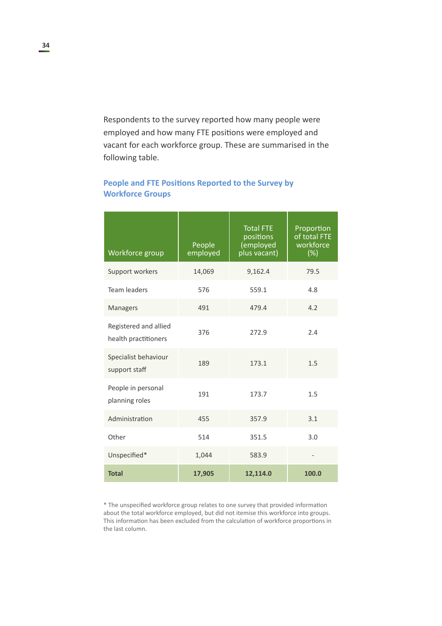Respondents to the survey reported how many people were employed and how many FTE positions were employed and vacant for each workforce group. These are summarised in the following table.

## **People and FTE Positions Reported to the Survey by Workforce Groups**

| Workforce group                               | People<br>employed | <b>Total FTE</b><br>positions<br>(employed<br>plus vacant) | Proportion<br>of total FTE<br>workforce<br>$(\%)$ |
|-----------------------------------------------|--------------------|------------------------------------------------------------|---------------------------------------------------|
| Support workers                               | 14,069             | 9,162.4                                                    | 79.5                                              |
| <b>Team leaders</b>                           | 576                | 559.1                                                      | 4.8                                               |
| Managers                                      | 491                | 479.4                                                      | 4.2                                               |
| Registered and allied<br>health practitioners | 376                | 272.9                                                      | 2.4                                               |
| Specialist behaviour<br>support staff         | 189                | 173.1                                                      | 1.5                                               |
| People in personal<br>planning roles          | 191                | 173.7                                                      | 1.5                                               |
| Administration                                | 455                | 357.9                                                      | 3.1                                               |
| Other                                         | 514                | 351.5                                                      | 3.0                                               |
| Unspecified*                                  | 1,044              | 583.9                                                      |                                                   |
| <b>Total</b>                                  | 17,905             | 12,114.0                                                   | 100.0                                             |

\* The unspecified workforce group relates to one survey that provided information about the total workforce employed, but did not itemise this workforce into groups. This information has been excluded from the calculation of workforce proportions in the last column.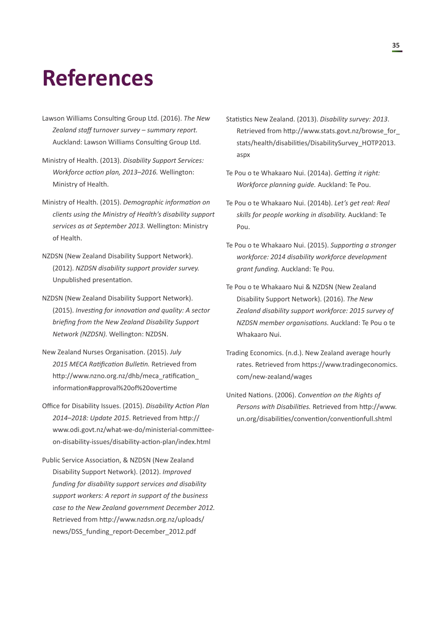## <span id="page-34-0"></span>**References**

- Lawson Williams Consulting Group Ltd. (2016). *The New Zealand staff turnover survey – summary report.* Auckland: Lawson Williams Consulting Group Ltd.
- Ministry of Health. (2013). *Disability Support Services: Workforce action plan, 2013–2016.* Wellington: Ministry of Health.
- Ministry of Health. (2015). *Demographic information on clients using the Ministry of Health's disability support services as at September 2013.* Wellington: Ministry of Health.
- NZDSN (New Zealand Disability Support Network). (2012). *NZDSN disability support provider survey.* Unpublished presentation.
- NZDSN (New Zealand Disability Support Network). (2015). *Investing for innovation and quality: A sector briefing from the New Zealand Disability Support Network (NZDSN).* Wellington: NZDSN.
- New Zealand Nurses Organisation. (2015). *July 2015 MECA Ratification Bulletin.* Retrieved from http://www.nzno.org.nz/dhb/meca\_ratification\_ information#approval%20of%20overtime
- Office for Disability Issues. (2015). *Disability Action Plan 2014–2018: Update 2015*. Retrieved from [http://](http://www.odi.govt.nz/what-we-do/ministerial-committee-on-disability-issues/disability-action-plan/index.html) [www.odi.govt.nz/what-we-do/ministerial-committee](http://www.odi.govt.nz/what-we-do/ministerial-committee-on-disability-issues/disability-action-plan/index.html)[on-disability-issues/disability-action-plan/index.html](http://www.odi.govt.nz/what-we-do/ministerial-committee-on-disability-issues/disability-action-plan/index.html)
- Public Service Association, & NZDSN (New Zealand Disability Support Network). (2012). *Improved funding for disability support services and disability support workers: A report in support of the business case to the New Zealand government December 2012.* Retrieved from [http://www.nzdsn.org.nz/uploads/](http://www.nzdsn.org.nz/uploads/news/DSS_funding_report-December_2012.pdf) [news/DSS\\_funding\\_report-December\\_2012.pdf](http://www.nzdsn.org.nz/uploads/news/DSS_funding_report-December_2012.pdf)
- Statistics New Zealand. (2013). *Disability survey: 2013*. Retrieved from [http://www.stats.govt.nz/browse\\_for\\_](http://www.stats.govt.nz/browse_for_stats/health/disabilities/DisabilitySurvey_HOTP2013.aspx%20) [stats/health/disabilities/DisabilitySurvey\\_HOTP2013.](http://www.stats.govt.nz/browse_for_stats/health/disabilities/DisabilitySurvey_HOTP2013.aspx%20) [aspx](http://www.stats.govt.nz/browse_for_stats/health/disabilities/DisabilitySurvey_HOTP2013.aspx%20)
- Te Pou o te Whakaaro Nui. (2014a). *Getting it right: Workforce planning guide.* Auckland: Te Pou.
- Te Pou o te Whakaaro Nui. (2014b). *Let's get real: Real skills for people working in disability.* Auckland: Te Pou.
- Te Pou o te Whakaaro Nui. (2015). *Supporting a stronger workforce: 2014 disability workforce development grant funding.* Auckland: Te Pou.
- Te Pou o te Whakaaro Nui & NZDSN (New Zealand Disability Support Network). (2016). *The New Zealand disability support workforce: 2015 survey of NZDSN member organisations.* Auckland: Te Pou o te Whakaaro Nui.
- Trading Economics. (n.d.). New Zealand average hourly rates. Retrieved from [https://www.tradingeconomics.](https://www.tradingeconomics.com/new-zealand/wages) [com/new-zealand/wages](https://www.tradingeconomics.com/new-zealand/wages)
- United Nations. (2006). *Convention on the Rights of Persons with Disabilities.* Retrieved from [http://www.](http://www.un.org/disabilities/convention/conventionfull.shtml) [un.org/disabilities/convention/conventionfull.shtml](http://www.un.org/disabilities/convention/conventionfull.shtml)